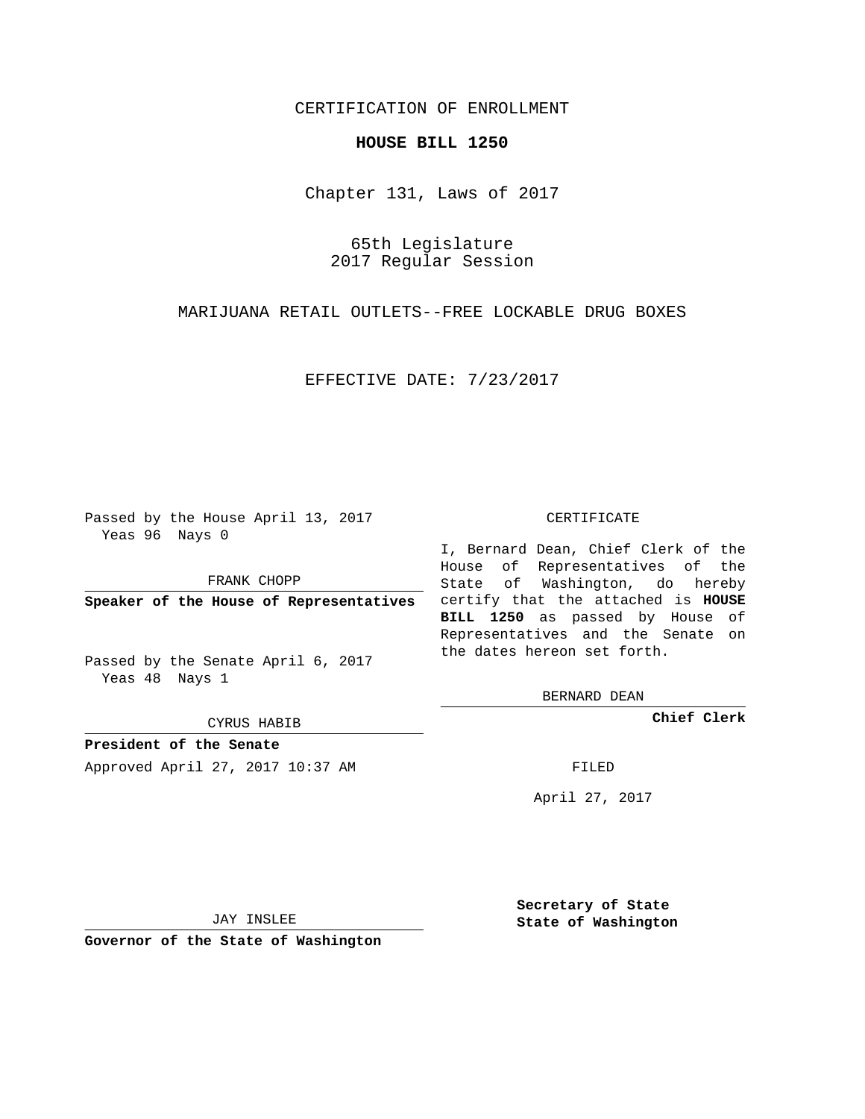# CERTIFICATION OF ENROLLMENT

### **HOUSE BILL 1250**

Chapter 131, Laws of 2017

65th Legislature 2017 Regular Session

MARIJUANA RETAIL OUTLETS--FREE LOCKABLE DRUG BOXES

EFFECTIVE DATE: 7/23/2017

Passed by the House April 13, 2017 Yeas 96 Nays 0

FRANK CHOPP

Passed by the Senate April 6, 2017 Yeas 48 Nays 1

CYRUS HABIB

**President of the Senate**

Approved April 27, 2017 10:37 AM FILED

#### CERTIFICATE

**Speaker of the House of Representatives** certify that the attached is **HOUSE** I, Bernard Dean, Chief Clerk of the House of Representatives of the State of Washington, do hereby **BILL 1250** as passed by House of Representatives and the Senate on the dates hereon set forth.

BERNARD DEAN

**Chief Clerk**

April 27, 2017

JAY INSLEE

**Governor of the State of Washington**

**Secretary of State State of Washington**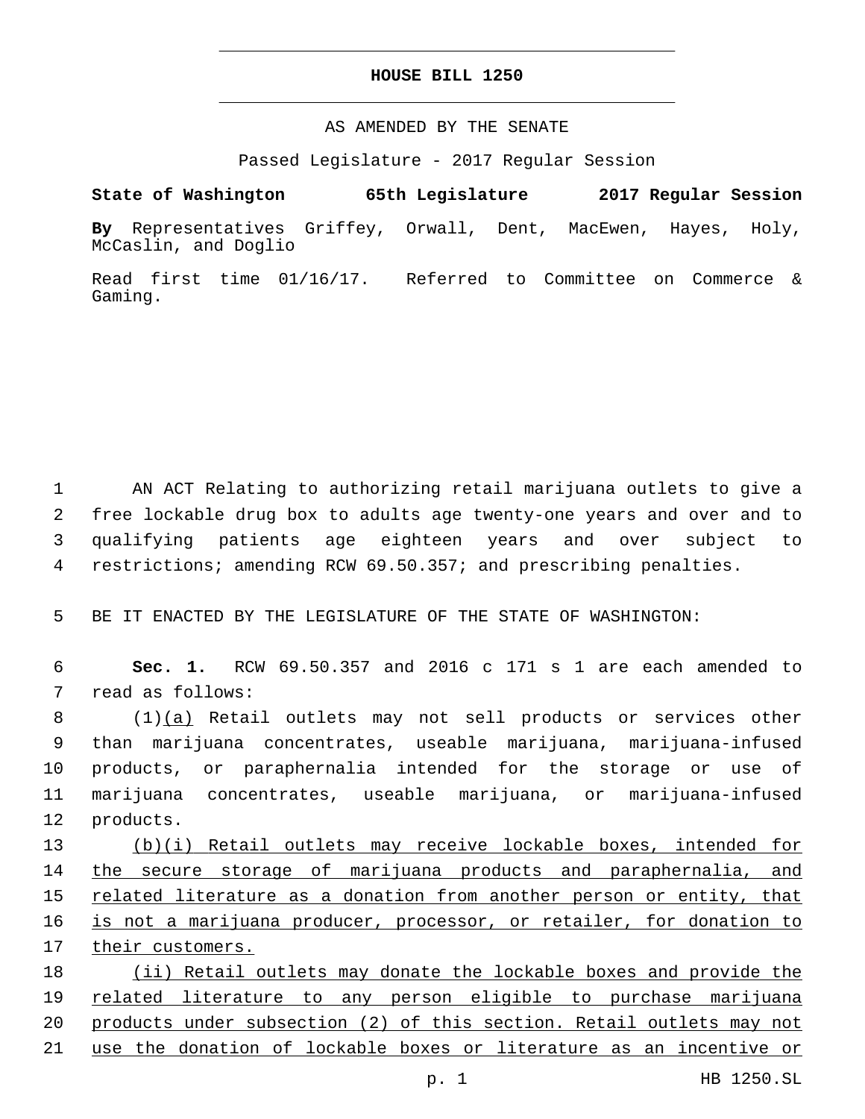## **HOUSE BILL 1250**

AS AMENDED BY THE SENATE

Passed Legislature - 2017 Regular Session

# **State of Washington 65th Legislature 2017 Regular Session**

**By** Representatives Griffey, Orwall, Dent, MacEwen, Hayes, Holy, McCaslin, and Doglio

Read first time 01/16/17. Referred to Committee on Commerce & Gaming.

 AN ACT Relating to authorizing retail marijuana outlets to give a free lockable drug box to adults age twenty-one years and over and to qualifying patients age eighteen years and over subject to restrictions; amending RCW 69.50.357; and prescribing penalties.

5 BE IT ENACTED BY THE LEGISLATURE OF THE STATE OF WASHINGTON:

6 **Sec. 1.** RCW 69.50.357 and 2016 c 171 s 1 are each amended to 7 read as follows:

8 (1)(a) Retail outlets may not sell products or services other 9 than marijuana concentrates, useable marijuana, marijuana-infused 10 products, or paraphernalia intended for the storage or use of 11 marijuana concentrates, useable marijuana, or marijuana-infused 12 products.

 (b)(i) Retail outlets may receive lockable boxes, intended for the secure storage of marijuana products and paraphernalia, and related literature as a donation from another person or entity, that is not a marijuana producer, processor, or retailer, for donation to their customers.

 (ii) Retail outlets may donate the lockable boxes and provide the related literature to any person eligible to purchase marijuana products under subsection (2) of this section. Retail outlets may not use the donation of lockable boxes or literature as an incentive or

p. 1 HB 1250.SL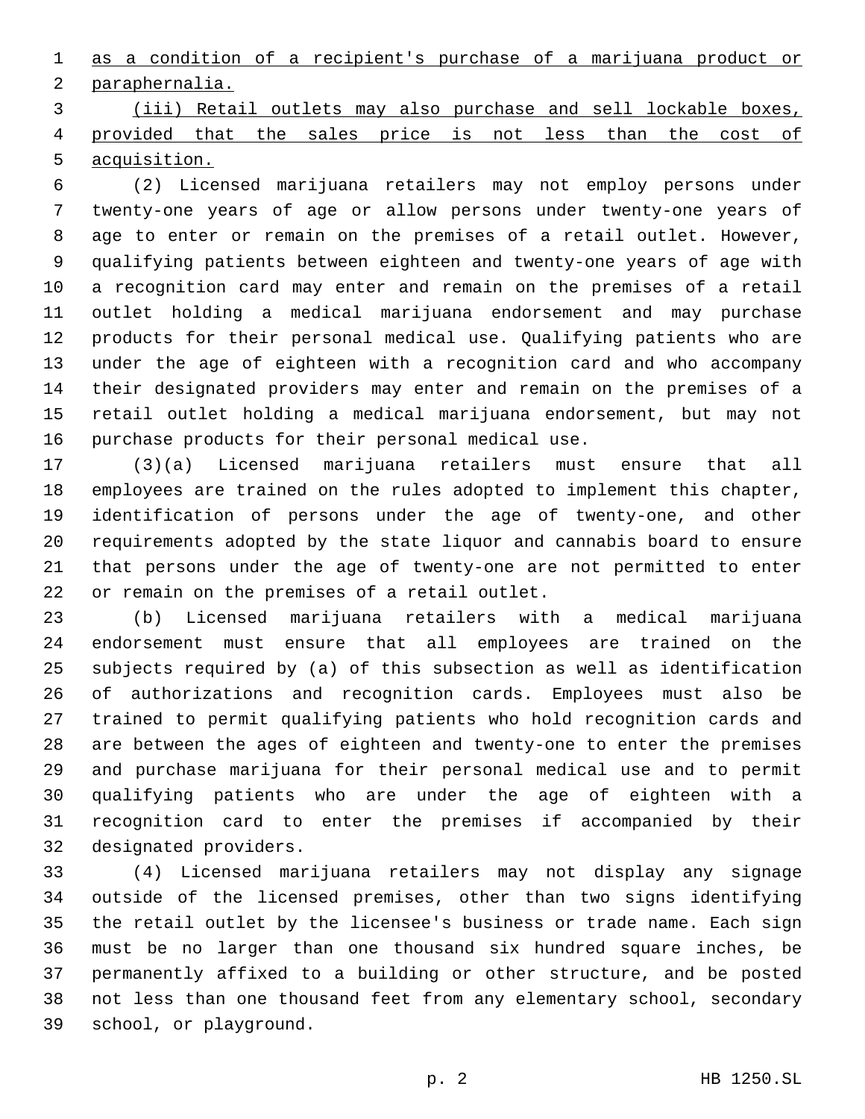as a condition of a recipient's purchase of a marijuana product or 2 paraphernalia.

 (iii) Retail outlets may also purchase and sell lockable boxes, 4 provided that the sales price is not less than the cost of acquisition.

 (2) Licensed marijuana retailers may not employ persons under twenty-one years of age or allow persons under twenty-one years of age to enter or remain on the premises of a retail outlet. However, qualifying patients between eighteen and twenty-one years of age with a recognition card may enter and remain on the premises of a retail outlet holding a medical marijuana endorsement and may purchase products for their personal medical use. Qualifying patients who are under the age of eighteen with a recognition card and who accompany their designated providers may enter and remain on the premises of a retail outlet holding a medical marijuana endorsement, but may not 16 purchase products for their personal medical use.

 (3)(a) Licensed marijuana retailers must ensure that all employees are trained on the rules adopted to implement this chapter, identification of persons under the age of twenty-one, and other requirements adopted by the state liquor and cannabis board to ensure that persons under the age of twenty-one are not permitted to enter 22 or remain on the premises of a retail outlet.

 (b) Licensed marijuana retailers with a medical marijuana endorsement must ensure that all employees are trained on the subjects required by (a) of this subsection as well as identification of authorizations and recognition cards. Employees must also be trained to permit qualifying patients who hold recognition cards and are between the ages of eighteen and twenty-one to enter the premises and purchase marijuana for their personal medical use and to permit qualifying patients who are under the age of eighteen with a recognition card to enter the premises if accompanied by their 32 designated providers.

 (4) Licensed marijuana retailers may not display any signage outside of the licensed premises, other than two signs identifying the retail outlet by the licensee's business or trade name. Each sign must be no larger than one thousand six hundred square inches, be permanently affixed to a building or other structure, and be posted not less than one thousand feet from any elementary school, secondary 39 school, or playground.